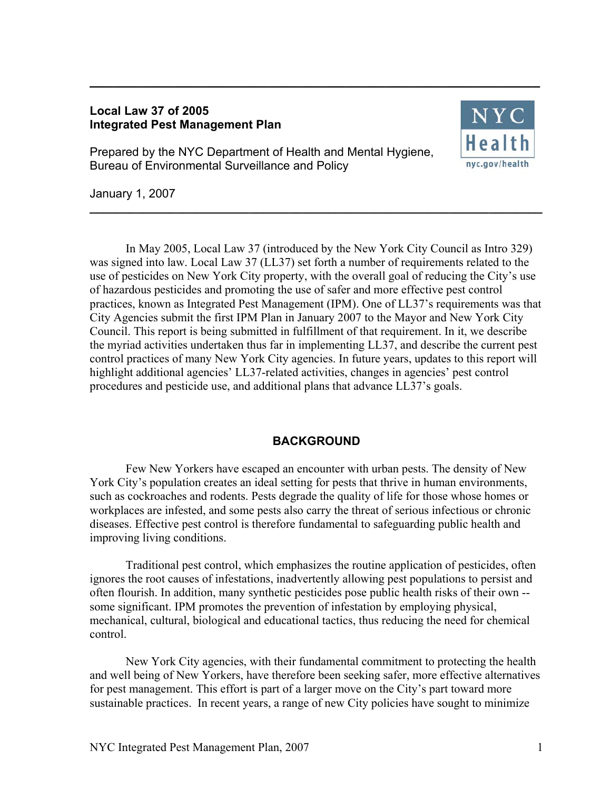## **Local Law 37 of 2005 Integrated Pest Management Plan**



Prepared by the NYC Department of Health and Mental Hygiene, Bureau of Environmental Surveillance and Policy

January 1, 2007

 In May 2005, Local Law 37 (introduced by the New York City Council as Intro 329) was signed into law. Local Law 37 (LL37) set forth a number of requirements related to the use of pesticides on New York City property, with the overall goal of reducing the City's use of hazardous pesticides and promoting the use of safer and more effective pest control practices, known as Integrated Pest Management (IPM). One of LL37's requirements was that City Agencies submit the first IPM Plan in January 2007 to the Mayor and New York City Council. This report is being submitted in fulfillment of that requirement. In it, we describe the myriad activities undertaken thus far in implementing LL37, and describe the current pest control practices of many New York City agencies. In future years, updates to this report will highlight additional agencies' LL37-related activities, changes in agencies' pest control procedures and pesticide use, and additional plans that advance LL37's goals.

**\_\_\_\_\_\_\_\_\_\_\_\_\_\_\_\_\_\_\_\_\_\_\_\_\_\_\_\_\_\_\_\_\_\_\_\_\_\_\_\_\_\_\_\_\_\_\_\_\_\_\_\_\_\_\_\_\_\_\_\_\_\_\_\_\_\_\_\_** 

**\_\_\_\_\_\_\_\_\_\_\_\_\_\_\_\_\_\_\_\_\_\_\_\_\_\_\_\_\_\_\_\_\_\_\_\_\_\_\_\_\_\_\_\_\_\_\_\_\_\_\_\_\_\_\_\_\_\_** 

# **BACKGROUND**

 Few New Yorkers have escaped an encounter with urban pests. The density of New York City's population creates an ideal setting for pests that thrive in human environments, such as cockroaches and rodents. Pests degrade the quality of life for those whose homes or workplaces are infested, and some pests also carry the threat of serious infectious or chronic diseases. Effective pest control is therefore fundamental to safeguarding public health and improving living conditions.

 Traditional pest control, which emphasizes the routine application of pesticides, often ignores the root causes of infestations, inadvertently allowing pest populations to persist and often flourish. In addition, many synthetic pesticides pose public health risks of their own - some significant. IPM promotes the prevention of infestation by employing physical, mechanical, cultural, biological and educational tactics, thus reducing the need for chemical control.

 New York City agencies, with their fundamental commitment to protecting the health and well being of New Yorkers, have therefore been seeking safer, more effective alternatives for pest management. This effort is part of a larger move on the City's part toward more sustainable practices. In recent years, a range of new City policies have sought to minimize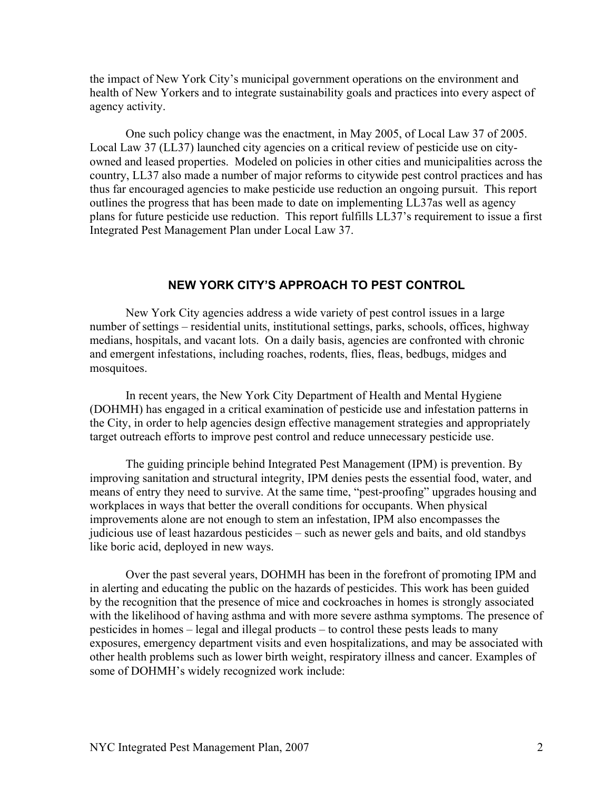the impact of New York City's municipal government operations on the environment and health of New Yorkers and to integrate sustainability goals and practices into every aspect of agency activity.

 One such policy change was the enactment, in May 2005, of Local Law 37 of 2005. Local Law 37 (LL37) launched city agencies on a critical review of pesticide use on cityowned and leased properties. Modeled on policies in other cities and municipalities across the country, LL37 also made a number of major reforms to citywide pest control practices and has thus far encouraged agencies to make pesticide use reduction an ongoing pursuit. This report outlines the progress that has been made to date on implementing LL37as well as agency plans for future pesticide use reduction. This report fulfills LL37's requirement to issue a first Integrated Pest Management Plan under Local Law 37.

### **NEW YORK CITY'S APPROACH TO PEST CONTROL**

 New York City agencies address a wide variety of pest control issues in a large number of settings – residential units, institutional settings, parks, schools, offices, highway medians, hospitals, and vacant lots. On a daily basis, agencies are confronted with chronic and emergent infestations, including roaches, rodents, flies, fleas, bedbugs, midges and mosquitoes.

 In recent years, the New York City Department of Health and Mental Hygiene (DOHMH) has engaged in a critical examination of pesticide use and infestation patterns in the City, in order to help agencies design effective management strategies and appropriately target outreach efforts to improve pest control and reduce unnecessary pesticide use.

 The guiding principle behind Integrated Pest Management (IPM) is prevention. By improving sanitation and structural integrity, IPM denies pests the essential food, water, and means of entry they need to survive. At the same time, "pest-proofing" upgrades housing and workplaces in ways that better the overall conditions for occupants. When physical improvements alone are not enough to stem an infestation, IPM also encompasses the judicious use of least hazardous pesticides – such as newer gels and baits, and old standbys like boric acid, deployed in new ways.

 Over the past several years, DOHMH has been in the forefront of promoting IPM and in alerting and educating the public on the hazards of pesticides. This work has been guided by the recognition that the presence of mice and cockroaches in homes is strongly associated with the likelihood of having asthma and with more severe asthma symptoms. The presence of pesticides in homes – legal and illegal products – to control these pests leads to many exposures, emergency department visits and even hospitalizations, and may be associated with other health problems such as lower birth weight, respiratory illness and cancer. Examples of some of DOHMH's widely recognized work include: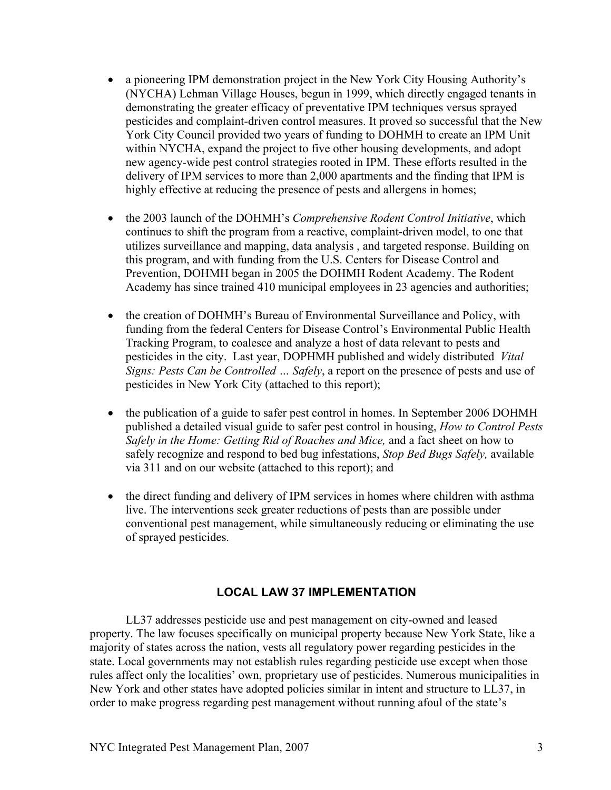- a pioneering IPM demonstration project in the New York City Housing Authority's (NYCHA) Lehman Village Houses, begun in 1999, which directly engaged tenants in demonstrating the greater efficacy of preventative IPM techniques versus sprayed pesticides and complaint-driven control measures. It proved so successful that the New York City Council provided two years of funding to DOHMH to create an IPM Unit within NYCHA, expand the project to five other housing developments, and adopt new agency-wide pest control strategies rooted in IPM. These efforts resulted in the delivery of IPM services to more than 2,000 apartments and the finding that IPM is highly effective at reducing the presence of pests and allergens in homes;
- the 2003 launch of the DOHMH's *Comprehensive Rodent Control Initiative*, which continues to shift the program from a reactive, complaint-driven model, to one that utilizes surveillance and mapping, data analysis , and targeted response. Building on this program, and with funding from the U.S. Centers for Disease Control and Prevention, DOHMH began in 2005 the DOHMH Rodent Academy. The Rodent Academy has since trained 410 municipal employees in 23 agencies and authorities;
- the creation of DOHMH's Bureau of Environmental Surveillance and Policy, with funding from the federal Centers for Disease Control's Environmental Public Health Tracking Program, to coalesce and analyze a host of data relevant to pests and pesticides in the city. Last year, DOPHMH published and widely distributed *Vital Signs: Pests Can be Controlled … Safely*, a report on the presence of pests and use of pesticides in New York City (attached to this report);
- the publication of a guide to safer pest control in homes. In September 2006 DOHMH published a detailed visual guide to safer pest control in housing, *How to Control Pests Safely in the Home: Getting Rid of Roaches and Mice,* and a fact sheet on how to safely recognize and respond to bed bug infestations, *Stop Bed Bugs Safely,* available via 311 and on our website (attached to this report); and
- the direct funding and delivery of IPM services in homes where children with asthma live. The interventions seek greater reductions of pests than are possible under conventional pest management, while simultaneously reducing or eliminating the use of sprayed pesticides.

# **LOCAL LAW 37 IMPLEMENTATION**

 LL37 addresses pesticide use and pest management on city-owned and leased property. The law focuses specifically on municipal property because New York State, like a majority of states across the nation, vests all regulatory power regarding pesticides in the state. Local governments may not establish rules regarding pesticide use except when those rules affect only the localities' own, proprietary use of pesticides. Numerous municipalities in New York and other states have adopted policies similar in intent and structure to LL37, in order to make progress regarding pest management without running afoul of the state's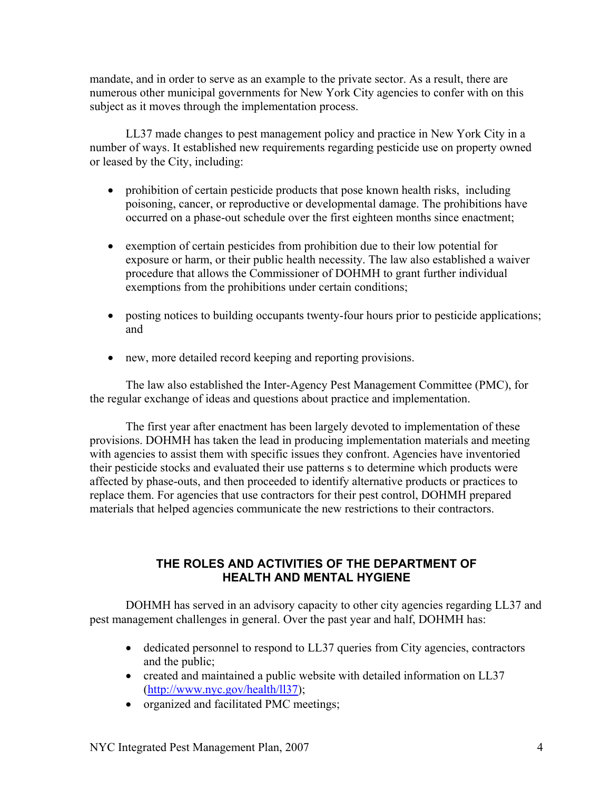mandate, and in order to serve as an example to the private sector. As a result, there are numerous other municipal governments for New York City agencies to confer with on this subject as it moves through the implementation process.

 LL37 made changes to pest management policy and practice in New York City in a number of ways. It established new requirements regarding pesticide use on property owned or leased by the City, including:

- prohibition of certain pesticide products that pose known health risks, including poisoning, cancer, or reproductive or developmental damage. The prohibitions have occurred on a phase-out schedule over the first eighteen months since enactment;
- exemption of certain pesticides from prohibition due to their low potential for exposure or harm, or their public health necessity. The law also established a waiver procedure that allows the Commissioner of DOHMH to grant further individual exemptions from the prohibitions under certain conditions;
- posting notices to building occupants twenty-four hours prior to pesticide applications; and
- new, more detailed record keeping and reporting provisions.

 The law also established the Inter-Agency Pest Management Committee (PMC), for the regular exchange of ideas and questions about practice and implementation.

 The first year after enactment has been largely devoted to implementation of these provisions. DOHMH has taken the lead in producing implementation materials and meeting with agencies to assist them with specific issues they confront. Agencies have inventoried their pesticide stocks and evaluated their use patterns s to determine which products were affected by phase-outs, and then proceeded to identify alternative products or practices to replace them. For agencies that use contractors for their pest control, DOHMH prepared materials that helped agencies communicate the new restrictions to their contractors.

# **THE ROLES AND ACTIVITIES OF THE DEPARTMENT OF HEALTH AND MENTAL HYGIENE**

 DOHMH has served in an advisory capacity to other city agencies regarding LL37 and pest management challenges in general. Over the past year and half, DOHMH has:

- dedicated personnel to respond to LL37 queries from City agencies, contractors and the public;
- created and maintained a public website with detailed information on LL37 (http://www.nyc.gov/health/ll37);
- organized and facilitated PMC meetings;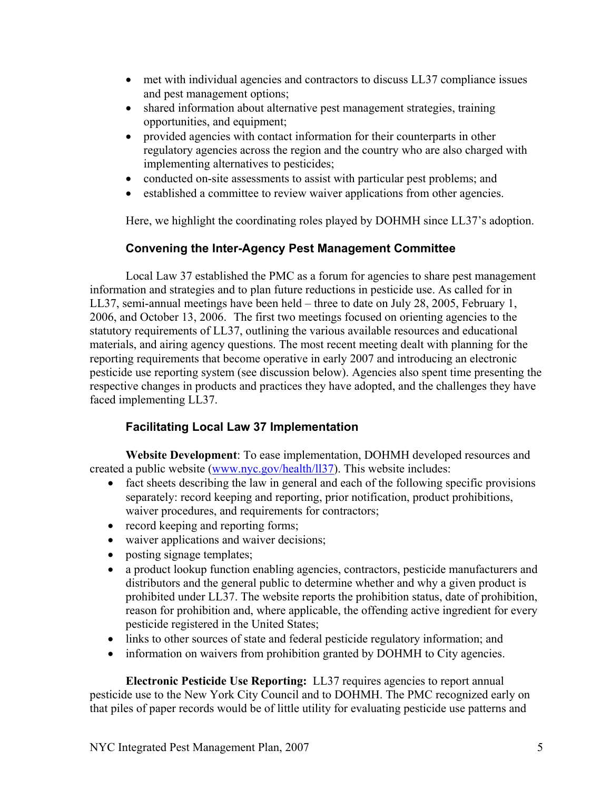- met with individual agencies and contractors to discuss LL37 compliance issues and pest management options;
- shared information about alternative pest management strategies, training opportunities, and equipment;
- provided agencies with contact information for their counterparts in other regulatory agencies across the region and the country who are also charged with implementing alternatives to pesticides;
- conducted on-site assessments to assist with particular pest problems; and
- established a committee to review waiver applications from other agencies.

Here, we highlight the coordinating roles played by DOHMH since LL37's adoption.

# **Convening the Inter-Agency Pest Management Committee**

 Local Law 37 established the PMC as a forum for agencies to share pest management information and strategies and to plan future reductions in pesticide use. As called for in LL37, semi-annual meetings have been held – three to date on July 28, 2005, February 1, 2006, and October 13, 2006. The first two meetings focused on orienting agencies to the statutory requirements of LL37, outlining the various available resources and educational materials, and airing agency questions. The most recent meeting dealt with planning for the reporting requirements that become operative in early 2007 and introducing an electronic pesticide use reporting system (see discussion below). Agencies also spent time presenting the respective changes in products and practices they have adopted, and the challenges they have faced implementing LL37.

# **Facilitating Local Law 37 Implementation**

**Website Development**: To ease implementation, DOHMH developed resources and created a public website (www.nyc.gov/health/ll37). This website includes:

- fact sheets describing the law in general and each of the following specific provisions separately: record keeping and reporting, prior notification, product prohibitions, waiver procedures, and requirements for contractors;
- record keeping and reporting forms;
- waiver applications and waiver decisions;
- posting signage templates;
- a product lookup function enabling agencies, contractors, pesticide manufacturers and distributors and the general public to determine whether and why a given product is prohibited under LL37. The website reports the prohibition status, date of prohibition, reason for prohibition and, where applicable, the offending active ingredient for every pesticide registered in the United States;
- links to other sources of state and federal pesticide regulatory information; and
- information on waivers from prohibition granted by DOHMH to City agencies.

 **Electronic Pesticide Use Reporting:** LL37 requires agencies to report annual pesticide use to the New York City Council and to DOHMH. The PMC recognized early on that piles of paper records would be of little utility for evaluating pesticide use patterns and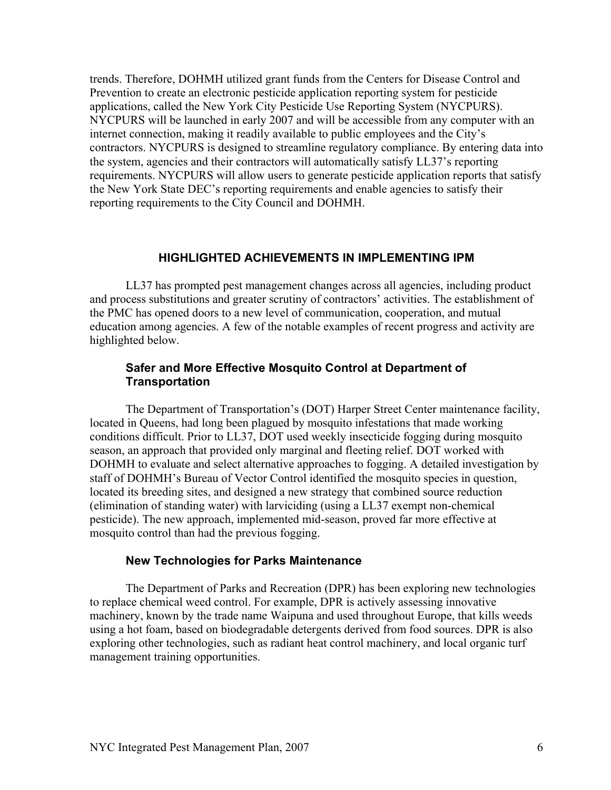trends. Therefore, DOHMH utilized grant funds from the Centers for Disease Control and Prevention to create an electronic pesticide application reporting system for pesticide applications, called the New York City Pesticide Use Reporting System (NYCPURS). NYCPURS will be launched in early 2007 and will be accessible from any computer with an internet connection, making it readily available to public employees and the City's contractors. NYCPURS is designed to streamline regulatory compliance. By entering data into the system, agencies and their contractors will automatically satisfy LL37's reporting requirements. NYCPURS will allow users to generate pesticide application reports that satisfy the New York State DEC's reporting requirements and enable agencies to satisfy their reporting requirements to the City Council and DOHMH.

## **HIGHLIGHTED ACHIEVEMENTS IN IMPLEMENTING IPM**

 LL37 has prompted pest management changes across all agencies, including product and process substitutions and greater scrutiny of contractors' activities. The establishment of the PMC has opened doors to a new level of communication, cooperation, and mutual education among agencies. A few of the notable examples of recent progress and activity are highlighted below.

## **Safer and More Effective Mosquito Control at Department of Transportation**

 The Department of Transportation's (DOT) Harper Street Center maintenance facility, located in Queens, had long been plagued by mosquito infestations that made working conditions difficult. Prior to LL37, DOT used weekly insecticide fogging during mosquito season, an approach that provided only marginal and fleeting relief. DOT worked with DOHMH to evaluate and select alternative approaches to fogging. A detailed investigation by staff of DOHMH's Bureau of Vector Control identified the mosquito species in question, located its breeding sites, and designed a new strategy that combined source reduction (elimination of standing water) with larviciding (using a LL37 exempt non-chemical pesticide). The new approach, implemented mid-season, proved far more effective at mosquito control than had the previous fogging.

### **New Technologies for Parks Maintenance**

The Department of Parks and Recreation (DPR) has been exploring new technologies to replace chemical weed control. For example, DPR is actively assessing innovative machinery, known by the trade name Waipuna and used throughout Europe, that kills weeds using a hot foam, based on biodegradable detergents derived from food sources. DPR is also exploring other technologies, such as radiant heat control machinery, and local organic turf management training opportunities.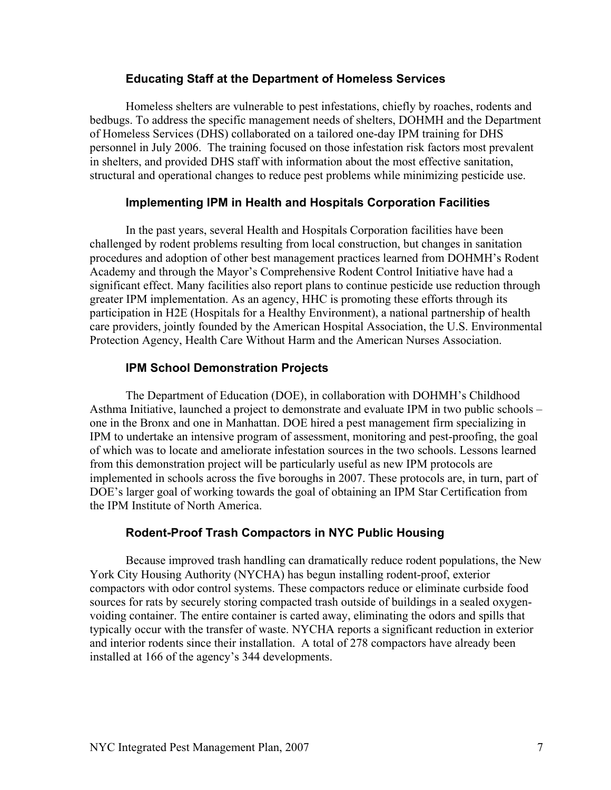### **Educating Staff at the Department of Homeless Services**

 Homeless shelters are vulnerable to pest infestations, chiefly by roaches, rodents and bedbugs. To address the specific management needs of shelters, DOHMH and the Department of Homeless Services (DHS) collaborated on a tailored one-day IPM training for DHS personnel in July 2006. The training focused on those infestation risk factors most prevalent in shelters, and provided DHS staff with information about the most effective sanitation, structural and operational changes to reduce pest problems while minimizing pesticide use.

# **Implementing IPM in Health and Hospitals Corporation Facilities**

 In the past years, several Health and Hospitals Corporation facilities have been challenged by rodent problems resulting from local construction, but changes in sanitation procedures and adoption of other best management practices learned from DOHMH's Rodent Academy and through the Mayor's Comprehensive Rodent Control Initiative have had a significant effect. Many facilities also report plans to continue pesticide use reduction through greater IPM implementation. As an agency, HHC is promoting these efforts through its participation in H2E (Hospitals for a Healthy Environment), a national partnership of health care providers, jointly founded by the American Hospital Association, the U.S. Environmental Protection Agency, Health Care Without Harm and the American Nurses Association.

# **IPM School Demonstration Projects**

 The Department of Education (DOE), in collaboration with DOHMH's Childhood Asthma Initiative, launched a project to demonstrate and evaluate IPM in two public schools – one in the Bronx and one in Manhattan. DOE hired a pest management firm specializing in IPM to undertake an intensive program of assessment, monitoring and pest-proofing, the goal of which was to locate and ameliorate infestation sources in the two schools. Lessons learned from this demonstration project will be particularly useful as new IPM protocols are implemented in schools across the five boroughs in 2007. These protocols are, in turn, part of DOE's larger goal of working towards the goal of obtaining an IPM Star Certification from the IPM Institute of North America.

# **Rodent-Proof Trash Compactors in NYC Public Housing**

 Because improved trash handling can dramatically reduce rodent populations, the New York City Housing Authority (NYCHA) has begun installing rodent-proof, exterior compactors with odor control systems. These compactors reduce or eliminate curbside food sources for rats by securely storing compacted trash outside of buildings in a sealed oxygenvoiding container. The entire container is carted away, eliminating the odors and spills that typically occur with the transfer of waste. NYCHA reports a significant reduction in exterior and interior rodents since their installation. A total of 278 compactors have already been installed at 166 of the agency's 344 developments.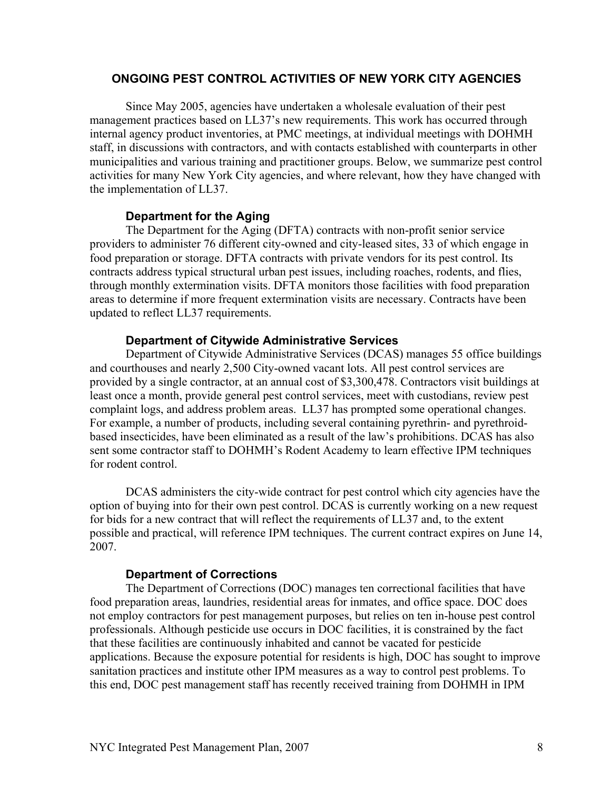# **ONGOING PEST CONTROL ACTIVITIES OF NEW YORK CITY AGENCIES**

 Since May 2005, agencies have undertaken a wholesale evaluation of their pest management practices based on LL37's new requirements. This work has occurred through internal agency product inventories, at PMC meetings, at individual meetings with DOHMH staff, in discussions with contractors, and with contacts established with counterparts in other municipalities and various training and practitioner groups. Below, we summarize pest control activities for many New York City agencies, and where relevant, how they have changed with the implementation of LL37.

## **Department for the Aging**

 The Department for the Aging (DFTA) contracts with non-profit senior service providers to administer 76 different city-owned and city-leased sites, 33 of which engage in food preparation or storage. DFTA contracts with private vendors for its pest control. Its contracts address typical structural urban pest issues, including roaches, rodents, and flies, through monthly extermination visits. DFTA monitors those facilities with food preparation areas to determine if more frequent extermination visits are necessary. Contracts have been updated to reflect LL37 requirements.

## **Department of Citywide Administrative Services**

 Department of Citywide Administrative Services (DCAS) manages 55 office buildings and courthouses and nearly 2,500 City-owned vacant lots. All pest control services are provided by a single contractor, at an annual cost of \$3,300,478. Contractors visit buildings at least once a month, provide general pest control services, meet with custodians, review pest complaint logs, and address problem areas. LL37 has prompted some operational changes. For example, a number of products, including several containing pyrethrin- and pyrethroidbased insecticides, have been eliminated as a result of the law's prohibitions. DCAS has also sent some contractor staff to DOHMH's Rodent Academy to learn effective IPM techniques for rodent control.

 DCAS administers the city-wide contract for pest control which city agencies have the option of buying into for their own pest control. DCAS is currently working on a new request for bids for a new contract that will reflect the requirements of LL37 and, to the extent possible and practical, will reference IPM techniques. The current contract expires on June 14, 2007.

### **Department of Corrections**

 The Department of Corrections (DOC) manages ten correctional facilities that have food preparation areas, laundries, residential areas for inmates, and office space. DOC does not employ contractors for pest management purposes, but relies on ten in-house pest control professionals. Although pesticide use occurs in DOC facilities, it is constrained by the fact that these facilities are continuously inhabited and cannot be vacated for pesticide applications. Because the exposure potential for residents is high, DOC has sought to improve sanitation practices and institute other IPM measures as a way to control pest problems. To this end, DOC pest management staff has recently received training from DOHMH in IPM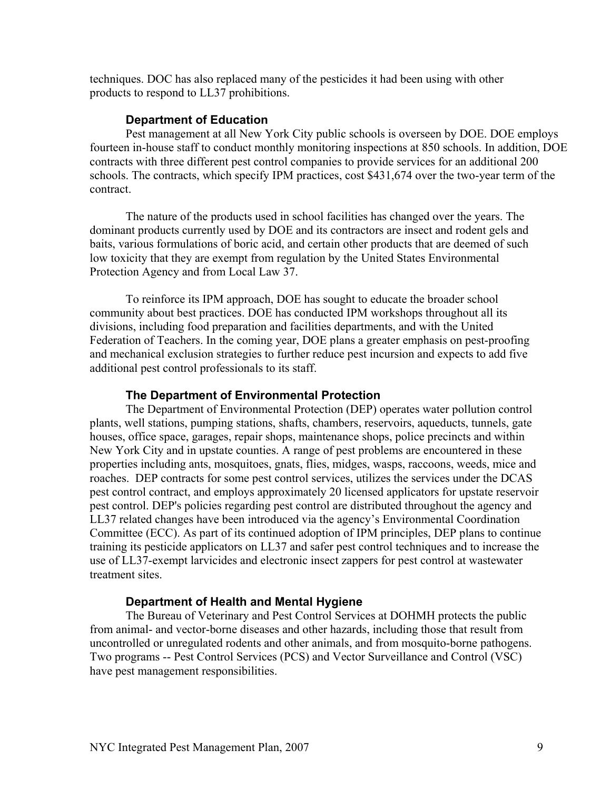techniques. DOC has also replaced many of the pesticides it had been using with other products to respond to LL37 prohibitions.

#### **Department of Education**

 Pest management at all New York City public schools is overseen by DOE. DOE employs fourteen in-house staff to conduct monthly monitoring inspections at 850 schools. In addition, DOE contracts with three different pest control companies to provide services for an additional 200 schools. The contracts, which specify IPM practices, cost \$431,674 over the two-year term of the contract.

 The nature of the products used in school facilities has changed over the years. The dominant products currently used by DOE and its contractors are insect and rodent gels and baits, various formulations of boric acid, and certain other products that are deemed of such low toxicity that they are exempt from regulation by the United States Environmental Protection Agency and from Local Law 37.

 To reinforce its IPM approach, DOE has sought to educate the broader school community about best practices. DOE has conducted IPM workshops throughout all its divisions, including food preparation and facilities departments, and with the United Federation of Teachers. In the coming year, DOE plans a greater emphasis on pest-proofing and mechanical exclusion strategies to further reduce pest incursion and expects to add five additional pest control professionals to its staff.

#### **The Department of Environmental Protection**

 The Department of Environmental Protection (DEP) operates water pollution control plants, well stations, pumping stations, shafts, chambers, reservoirs, aqueducts, tunnels, gate houses, office space, garages, repair shops, maintenance shops, police precincts and within New York City and in upstate counties. A range of pest problems are encountered in these properties including ants, mosquitoes, gnats, flies, midges, wasps, raccoons, weeds, mice and roaches. DEP contracts for some pest control services, utilizes the services under the DCAS pest control contract, and employs approximately 20 licensed applicators for upstate reservoir pest control. DEP's policies regarding pest control are distributed throughout the agency and LL37 related changes have been introduced via the agency's Environmental Coordination Committee (ECC). As part of its continued adoption of IPM principles, DEP plans to continue training its pesticide applicators on LL37 and safer pest control techniques and to increase the use of LL37-exempt larvicides and electronic insect zappers for pest control at wastewater treatment sites.

#### **Department of Health and Mental Hygiene**

 The Bureau of Veterinary and Pest Control Services at DOHMH protects the public from animal- and vector-borne diseases and other hazards, including those that result from uncontrolled or unregulated rodents and other animals, and from mosquito-borne pathogens. Two programs -- Pest Control Services (PCS) and Vector Surveillance and Control (VSC) have pest management responsibilities.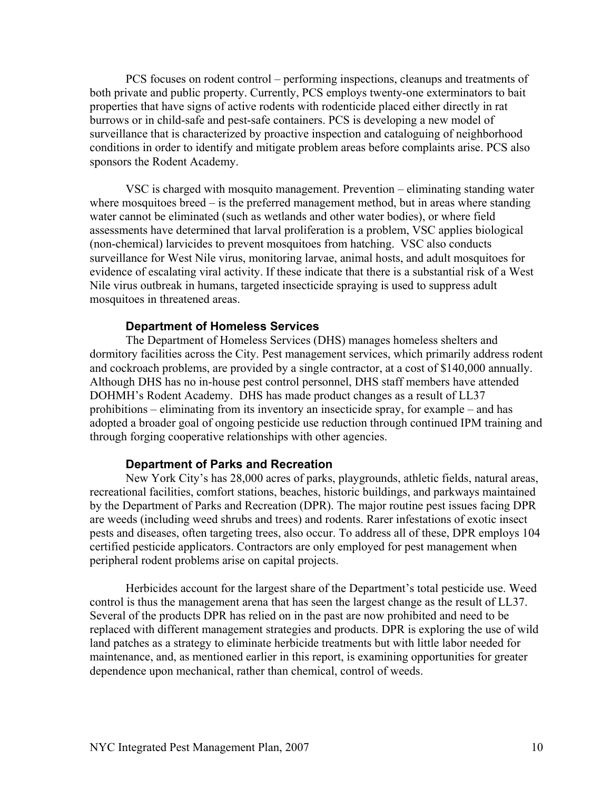PCS focuses on rodent control – performing inspections, cleanups and treatments of both private and public property. Currently, PCS employs twenty-one exterminators to bait properties that have signs of active rodents with rodenticide placed either directly in rat burrows or in child-safe and pest-safe containers. PCS is developing a new model of surveillance that is characterized by proactive inspection and cataloguing of neighborhood conditions in order to identify and mitigate problem areas before complaints arise. PCS also sponsors the Rodent Academy.

 VSC is charged with mosquito management. Prevention – eliminating standing water where mosquitoes breed – is the preferred management method, but in areas where standing water cannot be eliminated (such as wetlands and other water bodies), or where field assessments have determined that larval proliferation is a problem, VSC applies biological (non-chemical) larvicides to prevent mosquitoes from hatching. VSC also conducts surveillance for West Nile virus, monitoring larvae, animal hosts, and adult mosquitoes for evidence of escalating viral activity. If these indicate that there is a substantial risk of a West Nile virus outbreak in humans, targeted insecticide spraying is used to suppress adult mosquitoes in threatened areas.

#### **Department of Homeless Services**

 The Department of Homeless Services (DHS) manages homeless shelters and dormitory facilities across the City. Pest management services, which primarily address rodent and cockroach problems, are provided by a single contractor, at a cost of \$140,000 annually. Although DHS has no in-house pest control personnel, DHS staff members have attended DOHMH's Rodent Academy. DHS has made product changes as a result of LL37 prohibitions – eliminating from its inventory an insecticide spray, for example – and has adopted a broader goal of ongoing pesticide use reduction through continued IPM training and through forging cooperative relationships with other agencies.

#### **Department of Parks and Recreation**

 New York City's has 28,000 acres of parks, playgrounds, athletic fields, natural areas, recreational facilities, comfort stations, beaches, historic buildings, and parkways maintained by the Department of Parks and Recreation (DPR). The major routine pest issues facing DPR are weeds (including weed shrubs and trees) and rodents. Rarer infestations of exotic insect pests and diseases, often targeting trees, also occur. To address all of these, DPR employs 104 certified pesticide applicators. Contractors are only employed for pest management when peripheral rodent problems arise on capital projects.

 Herbicides account for the largest share of the Department's total pesticide use. Weed control is thus the management arena that has seen the largest change as the result of LL37. Several of the products DPR has relied on in the past are now prohibited and need to be replaced with different management strategies and products. DPR is exploring the use of wild land patches as a strategy to eliminate herbicide treatments but with little labor needed for maintenance, and, as mentioned earlier in this report, is examining opportunities for greater dependence upon mechanical, rather than chemical, control of weeds.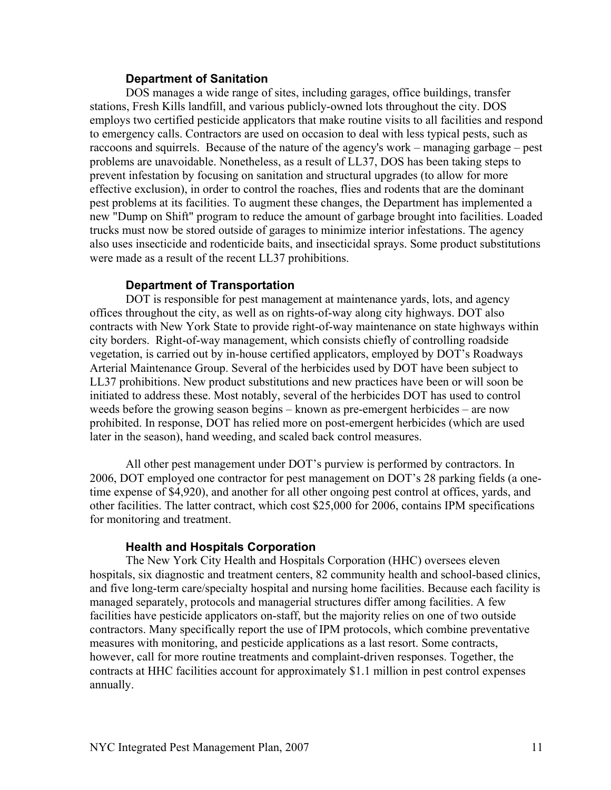#### **Department of Sanitation**

 DOS manages a wide range of sites, including garages, office buildings, transfer stations, Fresh Kills landfill, and various publicly-owned lots throughout the city. DOS employs two certified pesticide applicators that make routine visits to all facilities and respond to emergency calls. Contractors are used on occasion to deal with less typical pests, such as raccoons and squirrels. Because of the nature of the agency's work – managing garbage – pest problems are unavoidable. Nonetheless, as a result of LL37, DOS has been taking steps to prevent infestation by focusing on sanitation and structural upgrades (to allow for more effective exclusion), in order to control the roaches, flies and rodents that are the dominant pest problems at its facilities. To augment these changes, the Department has implemented a new "Dump on Shift" program to reduce the amount of garbage brought into facilities. Loaded trucks must now be stored outside of garages to minimize interior infestations. The agency also uses insecticide and rodenticide baits, and insecticidal sprays. Some product substitutions were made as a result of the recent LL37 prohibitions.

## **Department of Transportation**

 DOT is responsible for pest management at maintenance yards, lots, and agency offices throughout the city, as well as on rights-of-way along city highways. DOT also contracts with New York State to provide right-of-way maintenance on state highways within city borders. Right-of-way management, which consists chiefly of controlling roadside vegetation, is carried out by in-house certified applicators, employed by DOT's Roadways Arterial Maintenance Group. Several of the herbicides used by DOT have been subject to LL37 prohibitions. New product substitutions and new practices have been or will soon be initiated to address these. Most notably, several of the herbicides DOT has used to control weeds before the growing season begins – known as pre-emergent herbicides – are now prohibited. In response, DOT has relied more on post-emergent herbicides (which are used later in the season), hand weeding, and scaled back control measures.

 All other pest management under DOT's purview is performed by contractors. In 2006, DOT employed one contractor for pest management on DOT's 28 parking fields (a onetime expense of \$4,920), and another for all other ongoing pest control at offices, yards, and other facilities. The latter contract, which cost \$25,000 for 2006, contains IPM specifications for monitoring and treatment.

### **Health and Hospitals Corporation**

 The New York City Health and Hospitals Corporation (HHC) oversees eleven hospitals, six diagnostic and treatment centers, 82 community health and school-based clinics, and five long-term care/specialty hospital and nursing home facilities. Because each facility is managed separately, protocols and managerial structures differ among facilities. A few facilities have pesticide applicators on-staff, but the majority relies on one of two outside contractors. Many specifically report the use of IPM protocols, which combine preventative measures with monitoring, and pesticide applications as a last resort. Some contracts, however, call for more routine treatments and complaint-driven responses. Together, the contracts at HHC facilities account for approximately \$1.1 million in pest control expenses annually.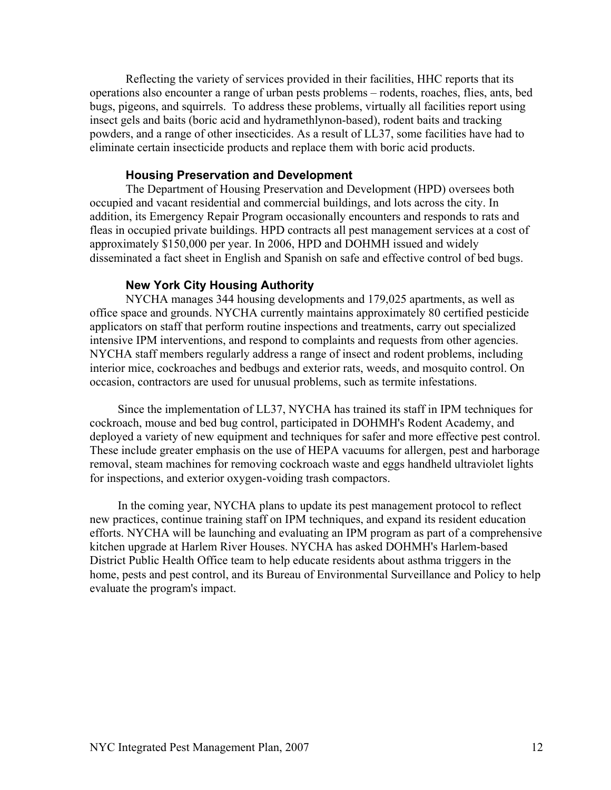Reflecting the variety of services provided in their facilities, HHC reports that its operations also encounter a range of urban pests problems – rodents, roaches, flies, ants, bed bugs, pigeons, and squirrels. To address these problems, virtually all facilities report using insect gels and baits (boric acid and hydramethlynon-based), rodent baits and tracking powders, and a range of other insecticides. As a result of LL37, some facilities have had to eliminate certain insecticide products and replace them with boric acid products.

#### **Housing Preservation and Development**

 The Department of Housing Preservation and Development (HPD) oversees both occupied and vacant residential and commercial buildings, and lots across the city. In addition, its Emergency Repair Program occasionally encounters and responds to rats and fleas in occupied private buildings. HPD contracts all pest management services at a cost of approximately \$150,000 per year. In 2006, HPD and DOHMH issued and widely disseminated a fact sheet in English and Spanish on safe and effective control of bed bugs.

#### **New York City Housing Authority**

 NYCHA manages 344 housing developments and 179,025 apartments, as well as office space and grounds. NYCHA currently maintains approximately 80 certified pesticide applicators on staff that perform routine inspections and treatments, carry out specialized intensive IPM interventions, and respond to complaints and requests from other agencies. NYCHA staff members regularly address a range of insect and rodent problems, including interior mice, cockroaches and bedbugs and exterior rats, weeds, and mosquito control. On occasion, contractors are used for unusual problems, such as termite infestations.

 Since the implementation of LL37, NYCHA has trained its staff in IPM techniques for cockroach, mouse and bed bug control, participated in DOHMH's Rodent Academy, and deployed a variety of new equipment and techniques for safer and more effective pest control. These include greater emphasis on the use of HEPA vacuums for allergen, pest and harborage removal, steam machines for removing cockroach waste and eggs handheld ultraviolet lights for inspections, and exterior oxygen-voiding trash compactors.

 In the coming year, NYCHA plans to update its pest management protocol to reflect new practices, continue training staff on IPM techniques, and expand its resident education efforts. NYCHA will be launching and evaluating an IPM program as part of a comprehensive kitchen upgrade at Harlem River Houses. NYCHA has asked DOHMH's Harlem-based District Public Health Office team to help educate residents about asthma triggers in the home, pests and pest control, and its Bureau of Environmental Surveillance and Policy to help evaluate the program's impact.